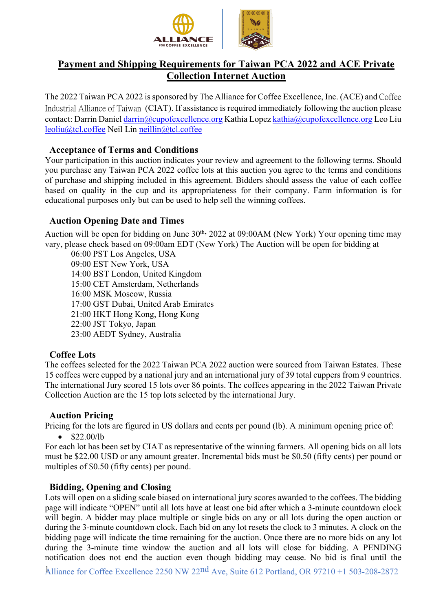

# **Payment and Shipping Requirements for Taiwan PCA 2022 and ACE Private Collection Internet Auction**

The 2022 Taiwan PCA 2022 is sponsored by The Alliance for Coffee Excellence, Inc. (ACE) and Coffee Industrial Alliance of Taiwan (CIAT). If assistance is required immediately following the auction please contact: Darrin Daniel darrin@cupofexcellence.org Kathia Lopez kathia@cupofexcellence.org Leo Liu leoliu@tcl.coffee Neil Lin neillin@tcl.coffee

### **Acceptance of Terms and Conditions**

Your participation in this auction indicates your review and agreement to the following terms. Should you purchase any Taiwan PCA 2022 coffee lots at this auction you agree to the terms and conditions of purchase and shipping included in this agreement. Bidders should assess the value of each coffee based on quality in the cup and its appropriateness for their company. Farm information is for educational purposes only but can be used to help sell the winning coffees.

## **Auction Opening Date and Times**

Auction will be open for bidding on June  $30<sup>th</sup>$ , 2022 at 09:00AM (New York) Your opening time may vary, please check based on 09:00am EDT (New York) The Auction will be open for bidding at

06:00 PST Los Angeles, USA 09:00 EST New York, USA 14:00 BST London, United Kingdom 15:00 CET Amsterdam, Netherlands 16:00 MSK Moscow, Russia 17:00 GST Dubai, United Arab Emirates 21:00 HKT Hong Kong, Hong Kong 22:00 JST Tokyo, Japan 23:00 AEDT Sydney, Australia

## **Coffee Lots**

The coffees selected for the 2022 Taiwan PCA 2022 auction were sourced from Taiwan Estates. These 15 coffees were cupped by a national jury and an international jury of 39 total cuppers from 9 countries. The international Jury scored 15 lots over 86 points. The coffees appearing in the 2022 Taiwan Private Collection Auction are the 15 top lots selected by the international Jury.

## **Auction Pricing**

Pricing for the lots are figured in US dollars and cents per pound (lb). A minimum opening price of:

•  $$22.00/lh$ 

For each lot has been set by CIAT as representative of the winning farmers. All opening bids on all lots must be \$22.00 USD or any amount greater. Incremental bids must be \$0.50 (fifty cents) per pound or multiples of \$0.50 (fifty cents) per pound.

## **Bidding, Opening and Closing**

Lots will open on a sliding scale biased on international jury scores awarded to the coffees. The bidding page will indicate "OPEN" until all lots have at least one bid after which a 3-minute countdown clock will begin. A bidder may place multiple or single bids on any or all lots during the open auction or during the 3-minute countdown clock. Each bid on any lot resets the clock to 3 minutes. A clock on the bidding page will indicate the time remaining for the auction. Once there are no more bids on any lot during the 3-minute time window the auction and all lots will close for bidding. A PENDING notification does not end the auction even though bidding may cease. No bid is final until the

Alliance for Coffee Excellence 2250 NW 22nd Ave, Suite 612 Portland, OR 97210 +1 503-208-2872 1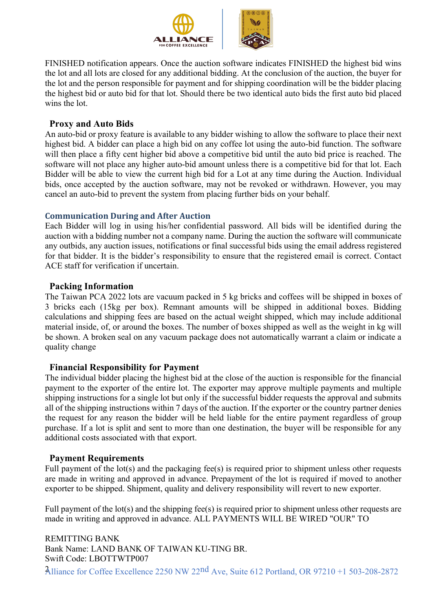

FINISHED notification appears. Once the auction software indicates FINISHED the highest bid wins the lot and all lots are closed for any additional bidding. At the conclusion of the auction, the buyer for the lot and the person responsible for payment and for shipping coordination will be the bidder placing the highest bid or auto bid for that lot. Should there be two identical auto bids the first auto bid placed wins the lot.

#### **Proxy and Auto Bids**

An auto-bid or proxy feature is available to any bidder wishing to allow the software to place their next highest bid. A bidder can place a high bid on any coffee lot using the auto-bid function. The software will then place a fifty cent higher bid above a competitive bid until the auto bid price is reached. The software will not place any higher auto-bid amount unless there is a competitive bid for that lot. Each Bidder will be able to view the current high bid for a Lot at any time during the Auction. Individual bids, once accepted by the auction software, may not be revoked or withdrawn. However, you may cancel an auto-bid to prevent the system from placing further bids on your behalf.

#### **Communication During and After Auction**

Each Bidder will log in using his/her confidential password. All bids will be identified during the auction with a bidding number not a company name. During the auction the software will communicate any outbids, any auction issues, notifications or final successful bids using the email address registered for that bidder. It is the bidder's responsibility to ensure that the registered email is correct. Contact ACE staff for verification if uncertain.

### **Packing Information**

The Taiwan PCA 2022 lots are vacuum packed in 5 kg bricks and coffees will be shipped in boxes of 3 bricks each (15kg per box). Remnant amounts will be shipped in additional boxes. Bidding calculations and shipping fees are based on the actual weight shipped, which may include additional material inside, of, or around the boxes. The number of boxes shipped as well as the weight in kg will be shown. A broken seal on any vacuum package does not automatically warrant a claim or indicate a quality change

### **Financial Responsibility for Payment**

The individual bidder placing the highest bid at the close of the auction is responsible for the financial payment to the exporter of the entire lot. The exporter may approve multiple payments and multiple shipping instructions for a single lot but only if the successful bidder requests the approval and submits all of the shipping instructions within 7 days of the auction. If the exporter or the country partner denies the request for any reason the bidder will be held liable for the entire payment regardless of group purchase. If a lot is split and sent to more than one destination, the buyer will be responsible for any additional costs associated with that export.

#### **Payment Requirements**

Full payment of the lot(s) and the packaging fee(s) is required prior to shipment unless other requests are made in writing and approved in advance. Prepayment of the lot is required if moved to another exporter to be shipped. Shipment, quality and delivery responsibility will revert to new exporter.

Full payment of the lot(s) and the shipping fee(s) is required prior to shipment unless other requests are made in writing and approved in advance. ALL PAYMENTS WILL BE WIRED "OUR" TO

Alliance for Coffee Excellence 2250 NW 22<sup>nd</sup> Ave, Suite 612 Portland, OR 97210 +1 503-208-2872 REMITTING BANK Bank Name: LAND BANK OF TAIWAN KU-TING BR. Swift Code: LBOTTWTP007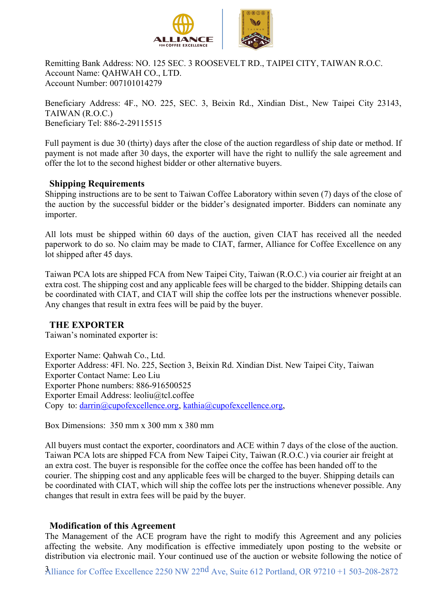

Remitting Bank Address: NO. 125 SEC. 3 ROOSEVELT RD., TAIPEI CITY, TAIWAN R.O.C. Account Name: QAHWAH CO., LTD. Account Number: 007101014279

Beneficiary Address: 4F., NO. 225, SEC. 3, Beixin Rd., Xindian Dist., New Taipei City 23143, TAIWAN (R.O.C.) Beneficiary Tel: 886-2-29115515

Full payment is due 30 (thirty) days after the close of the auction regardless of ship date or method. If payment is not made after 30 days, the exporter will have the right to nullify the sale agreement and offer the lot to the second highest bidder or other alternative buyers.

### **Shipping Requirements**

Shipping instructions are to be sent to Taiwan Coffee Laboratory within seven (7) days of the close of the auction by the successful bidder or the bidder's designated importer. Bidders can nominate any importer.

All lots must be shipped within 60 days of the auction, given CIAT has received all the needed paperwork to do so. No claim may be made to CIAT, farmer, Alliance for Coffee Excellence on any lot shipped after 45 days.

Taiwan PCA lots are shipped FCA from New Taipei City, Taiwan (R.O.C.) via courier air freight at an extra cost. The shipping cost and any applicable fees will be charged to the bidder. Shipping details can be coordinated with CIAT, and CIAT will ship the coffee lots per the instructions whenever possible. Any changes that result in extra fees will be paid by the buyer.

### **THE EXPORTER**

Taiwan's nominated exporter is:

Exporter Name: Qahwah Co., Ltd. Exporter Address: 4Fl. No. 225, Section 3, Beixin Rd. Xindian Dist. New Taipei City, Taiwan Exporter Contact Name: Leo Liu Exporter Phone numbers: 886-916500525 Exporter Email Address: leoliu@tcl.coffee Copy to: darrin@cupofexcellence.org, kathia@cupofexcellence.org,

Box Dimensions: 350 mm x 300 mm x 380 mm

All buyers must contact the exporter, coordinators and ACE within 7 days of the close of the auction. Taiwan PCA lots are shipped FCA from New Taipei City, Taiwan (R.O.C.) via courier air freight at an extra cost. The buyer is responsible for the coffee once the coffee has been handed off to the courier. The shipping cost and any applicable fees will be charged to the buyer. Shipping details can be coordinated with CIAT, which will ship the coffee lots per the instructions whenever possible. Any changes that result in extra fees will be paid by the buyer.

#### **Modification of this Agreement**

The Management of the ACE program have the right to modify this Agreement and any policies affecting the website. Any modification is effective immediately upon posting to the website or distribution via electronic mail. Your continued use of the auction or website following the notice of

Alliance for Coffee Excellence 2250 NW 22nd Ave, Suite 612 Portland, OR 97210 +1 503-208-2872